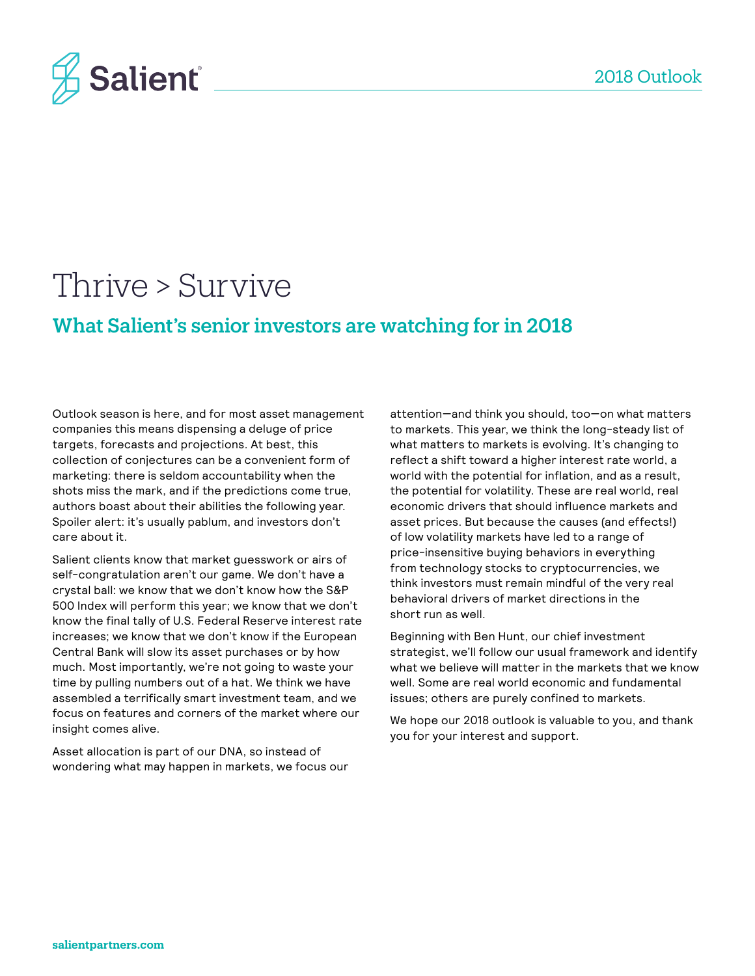

# Thrive > Survive

## What Salient's senior investors are watching for in 2018

Outlook season is here, and for most asset management companies this means dispensing a deluge of price targets, forecasts and projections. At best, this collection of conjectures can be a convenient form of marketing: there is seldom accountability when the shots miss the mark, and if the predictions come true, authors boast about their abilities the following year. Spoiler alert: it's usually pablum, and investors don't care about it.

Salient clients know that market guesswork or airs of self-congratulation aren't our game. We don't have a crystal ball: we know that we don't know how the S&P 500 Index will perform this year; we know that we don't know the final tally of U.S. Federal Reserve interest rate increases; we know that we don't know if the European Central Bank will slow its asset purchases or by how much. Most importantly, we're not going to waste your time by pulling numbers out of a hat. We think we have assembled a terrifically smart investment team, and we focus on features and corners of the market where our insight comes alive.

Asset allocation is part of our DNA, so instead of wondering what may happen in markets, we focus our attention—and think you should, too—on what matters to markets. This year, we think the long-steady list of what matters to markets is evolving. It's changing to reflect a shift toward a higher interest rate world, a world with the potential for inflation, and as a result, the potential for volatility. These are real world, real economic drivers that should influence markets and asset prices. But because the causes (and effects!) of low volatility markets have led to a range of price-insensitive buying behaviors in everything from technology stocks to cryptocurrencies, we think investors must remain mindful of the very real behavioral drivers of market directions in the short run as well.

Beginning with Ben Hunt, our chief investment strategist, we'll follow our usual framework and identify what we believe will matter in the markets that we know well. Some are real world economic and fundamental issues; others are purely confined to markets.

We hope our 2018 outlook is valuable to you, and thank you for your interest and support.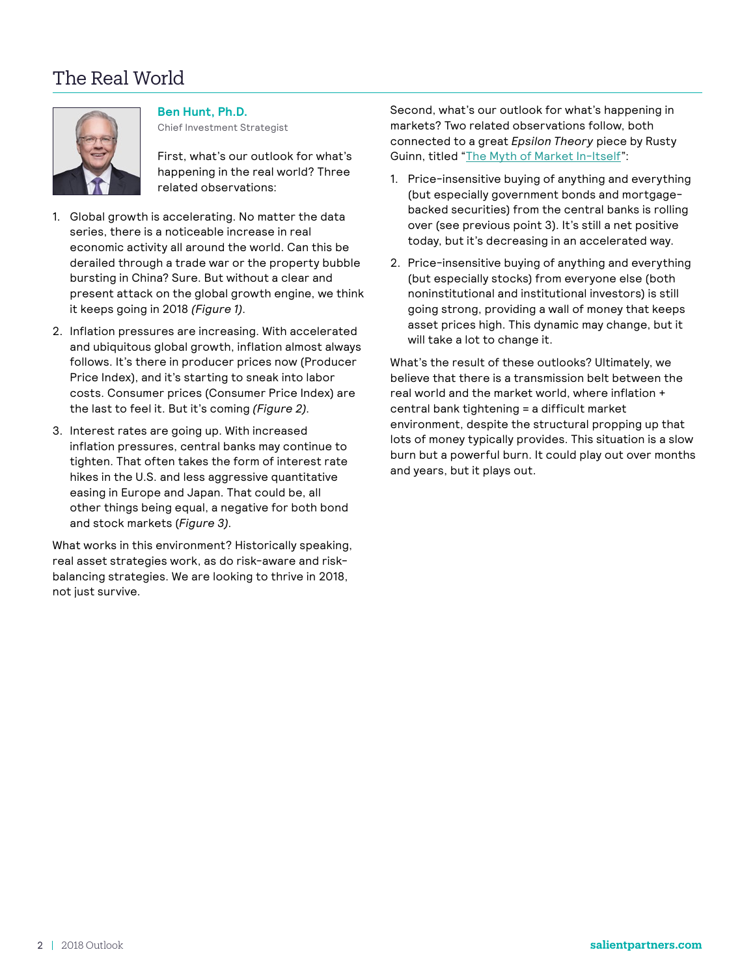## The Real World



**Ben Hunt, Ph.D.**

Chief Investment Strategist

First, what's our outlook for what's happening in the real world? Three related observations:

- 1. Global growth is accelerating. No matter the data series, there is a noticeable increase in real economic activity all around the world. Can this be derailed through a trade war or the property bubble bursting in China? Sure. But without a clear and present attack on the global growth engine, we think it keeps going in 2018 *(Figure 1)*.
- 2. Inflation pressures are increasing. With accelerated and ubiquitous global growth, inflation almost always follows. It's there in producer prices now (Producer Price Index), and it's starting to sneak into labor costs. Consumer prices (Consumer Price Index) are the last to feel it. But it's coming *(Figure 2)*.
- 3. Interest rates are going up. With increased inflation pressures, central banks may continue to tighten. That often takes the form of interest rate hikes in the U.S. and less aggressive quantitative easing in Europe and Japan. That could be, all other things being equal, a negative for both bond and stock markets (*Figure 3)*.

What works in this environment? Historically speaking, real asset strategies work, as do risk-aware and riskbalancing strategies. We are looking to thrive in 2018, not just survive.

Second, what's our outlook for what's happening in markets? Two related observations follow, both connected to a great *Epsilon Theory* piece by Rusty Guinn, titled "[The Myth of Market In-Itself"](http://epsilontheory.com/the-myth-of-market-in-itself-continued-the-five-things-that-matter-3/):

- 1. Price-insensitive buying of anything and everything (but especially government bonds and mortgagebacked securities) from the central banks is rolling over (see previous point 3). It's still a net positive today, but it's decreasing in an accelerated way.
- 2. Price-insensitive buying of anything and everything (but especially stocks) from everyone else (both noninstitutional and institutional investors) is still going strong, providing a wall of money that keeps asset prices high. This dynamic may change, but it will take a lot to change it.

What's the result of these outlooks? Ultimately, we believe that there is a transmission belt between the real world and the market world, where inflation + central bank tightening = a difficult market environment, despite the structural propping up that lots of money typically provides. This situation is a slow burn but a powerful burn. It could play out over months and years, but it plays out.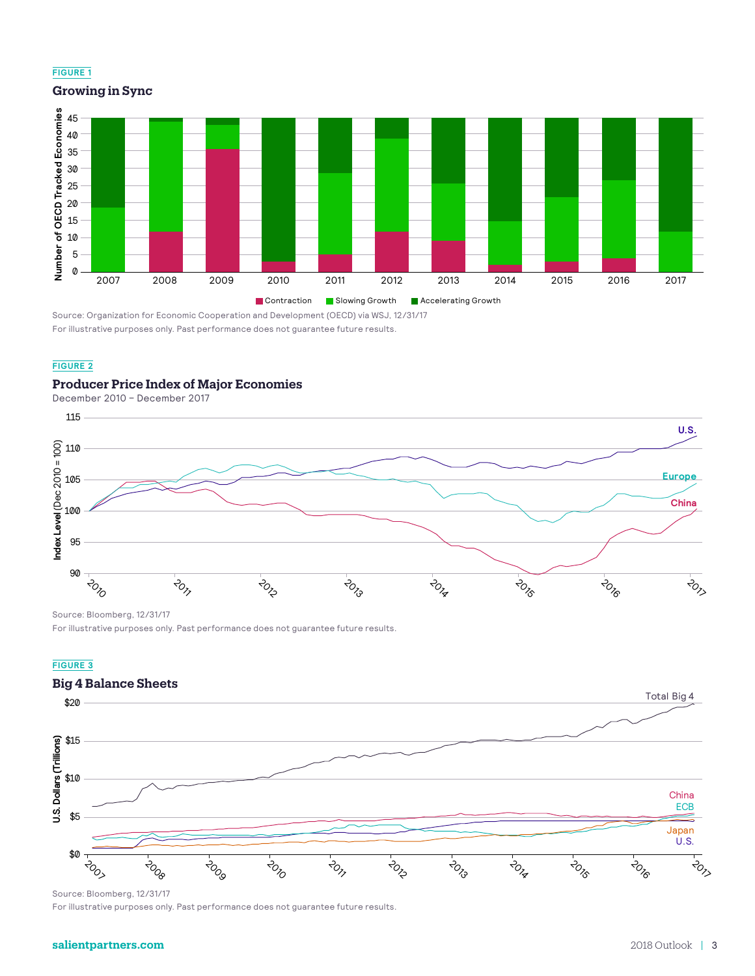#### **FIGURE 1**

**Growing in Sync**



Source: Organization for Economic Cooperation and Development (OECD) via WSJ, 12/31/17 For illustrative purposes only. Past performance does not guarantee future results.

#### **FIGURE 2**

#### **Producer Price Index of Major Economies**



Source: Bloomberg, 12/31/17

For illustrative purposes only. Past performance does not guarantee future results.

#### **FIGURE 3**

## **Big 4 Balance Sheets**



Source: Bloomberg, 12/31/17

For illustrative purposes only. Past performance does not guarantee future results.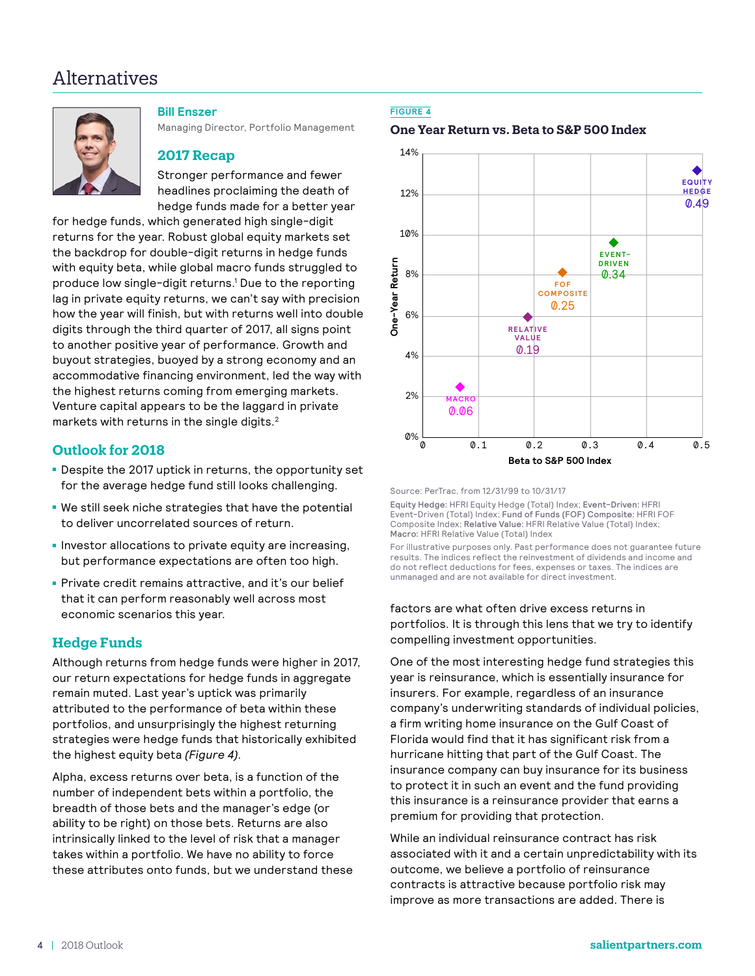## Alternatives



#### **Bill Enszer**

Managing Director, Portfolio Management

### **2017 Recap**

Stronger performance and fewer headlines proclaiming the death of hedge funds made for a better year

for hedge funds, which generated high single-digit returns for the year. Robust global equity markets set the backdrop for double-digit returns in hedge funds with equity beta, while global macro funds struggled to produce low single-digit returns.<sup>1</sup> Due to the reporting lag in private equity returns, we can't say with precision how the year will finish, but with returns well into double digits through the third quarter of 2017, all signs point to another positive year of performance. Growth and buyout strategies, buoyed by a strong economy and an accommodative financing environment, led the way with the highest returns coming from emerging markets. Venture capital appears to be the laggard in private markets with returns in the single digits.<sup>2</sup>

## **Outlook for 2018**

- Despite the 2017 uptick in returns, the opportunity set for the average hedge fund still looks challenging.
- We still seek niche strategies that have the potential to deliver uncorrelated sources of return.
- Investor allocations to private equity are increasing, but performance expectations are often too high.
- Private credit remains attractive, and it's our belief that it can perform reasonably well across most economic scenarios this year.

## **Hedge Funds**

Although returns from hedge funds were higher in 2017, our return expectations for hedge funds in aggregate remain muted. Last year's uptick was primarily attributed to the performance of beta within these portfolios, and unsurprisingly the highest returning strategies were hedge funds that historically exhibited the highest equity beta *(Figure 4)*.

Alpha, excess returns over beta, is a function of the number of independent bets within a portfolio, the breadth of those bets and the manager's edge (or ability to be right) on those bets. Returns are also intrinsically linked to the level of risk that a manager takes within a portfolio. We have no ability to force these attributes onto funds, but we understand these

#### **FIGURE 4**

#### **One Year Return vs. Beta to S&P 500 Index**



Source: PerTrac, from 12/31/99 to 10/31/17

Equity Hedge: HFRI Equity Hedge (Total) Index; Event-Driven: HFRI Event-Driven (Total) Index; Fund of Funds (FOF) Composite: HFRI FOF Composite Index; Relative Value: HFRI Relative Value (Total) Index; Macro: HFRI Relative Value (Total) Index

For illustrative purposes only. Past performance does not guarantee future results. The indices reflect the reinvestment of dividends and income and do not reflect deductions for fees, expenses or taxes. The indices are unmanaged and are not available for direct investment.

factors are what often drive excess returns in portfolios. It is through this lens that we try to identify compelling investment opportunities.

One of the most interesting hedge fund strategies this year is reinsurance, which is essentially insurance for insurers. For example, regardless of an insurance company's underwriting standards of individual policies, a firm writing home insurance on the Gulf Coast of Florida would find that it has significant risk from a hurricane hitting that part of the Gulf Coast. The insurance company can buy insurance for its business to protect it in such an event and the fund providing this insurance is a reinsurance provider that earns a premium for providing that protection.

While an individual reinsurance contract has risk associated with it and a certain unpredictability with its outcome, we believe a portfolio of reinsurance contracts is attractive because portfolio risk may improve as more transactions are added. There is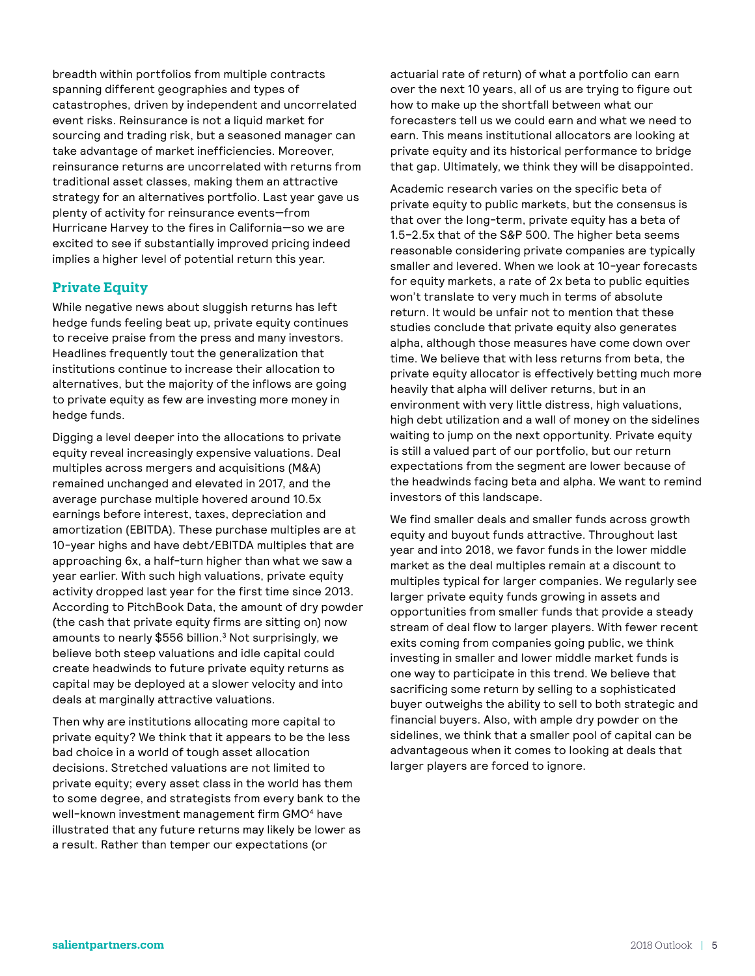breadth within portfolios from multiple contracts spanning different geographies and types of catastrophes, driven by independent and uncorrelated event risks. Reinsurance is not a liquid market for sourcing and trading risk, but a seasoned manager can take advantage of market inefficiencies. Moreover, reinsurance returns are uncorrelated with returns from traditional asset classes, making them an attractive strategy for an alternatives portfolio. Last year gave us plenty of activity for reinsurance events—from Hurricane Harvey to the fires in California—so we are excited to see if substantially improved pricing indeed implies a higher level of potential return this year.

## **Private Equity**

While negative news about sluggish returns has left hedge funds feeling beat up, private equity continues to receive praise from the press and many investors. Headlines frequently tout the generalization that institutions continue to increase their allocation to alternatives, but the majority of the inflows are going to private equity as few are investing more money in hedge funds.

Digging a level deeper into the allocations to private equity reveal increasingly expensive valuations. Deal multiples across mergers and acquisitions (M&A) remained unchanged and elevated in 2017, and the average purchase multiple hovered around 10.5x earnings before interest, taxes, depreciation and amortization (EBITDA). These purchase multiples are at 10-year highs and have debt/EBITDA multiples that are approaching 6x, a half-turn higher than what we saw a year earlier. With such high valuations, private equity activity dropped last year for the first time since 2013. According to PitchBook Data, the amount of dry powder (the cash that private equity firms are sitting on) now amounts to nearly \$556 billion.<sup>3</sup> Not surprisingly, we believe both steep valuations and idle capital could create headwinds to future private equity returns as capital may be deployed at a slower velocity and into deals at marginally attractive valuations.

Then why are institutions allocating more capital to private equity? We think that it appears to be the less bad choice in a world of tough asset allocation decisions. Stretched valuations are not limited to private equity; every asset class in the world has them to some degree, and strategists from every bank to the well-known investment management firm GMO<sup>4</sup> have illustrated that any future returns may likely be lower as a result. Rather than temper our expectations (or

actuarial rate of return) of what a portfolio can earn over the next 10 years, all of us are trying to figure out how to make up the shortfall between what our forecasters tell us we could earn and what we need to earn. This means institutional allocators are looking at private equity and its historical performance to bridge that gap. Ultimately, we think they will be disappointed.

Academic research varies on the specific beta of private equity to public markets, but the consensus is that over the long-term, private equity has a beta of 1.5–2.5x that of the S&P 500. The higher beta seems reasonable considering private companies are typically smaller and levered. When we look at 10-year forecasts for equity markets, a rate of 2x beta to public equities won't translate to very much in terms of absolute return. It would be unfair not to mention that these studies conclude that private equity also generates alpha, although those measures have come down over time. We believe that with less returns from beta, the private equity allocator is effectively betting much more heavily that alpha will deliver returns, but in an environment with very little distress, high valuations, high debt utilization and a wall of money on the sidelines waiting to jump on the next opportunity. Private equity is still a valued part of our portfolio, but our return expectations from the segment are lower because of the headwinds facing beta and alpha. We want to remind investors of this landscape.

We find smaller deals and smaller funds across growth equity and buyout funds attractive. Throughout last year and into 2018, we favor funds in the lower middle market as the deal multiples remain at a discount to multiples typical for larger companies. We regularly see larger private equity funds growing in assets and opportunities from smaller funds that provide a steady stream of deal flow to larger players. With fewer recent exits coming from companies going public, we think investing in smaller and lower middle market funds is one way to participate in this trend. We believe that sacrificing some return by selling to a sophisticated buyer outweighs the ability to sell to both strategic and financial buyers. Also, with ample dry powder on the sidelines, we think that a smaller pool of capital can be advantageous when it comes to looking at deals that larger players are forced to ignore.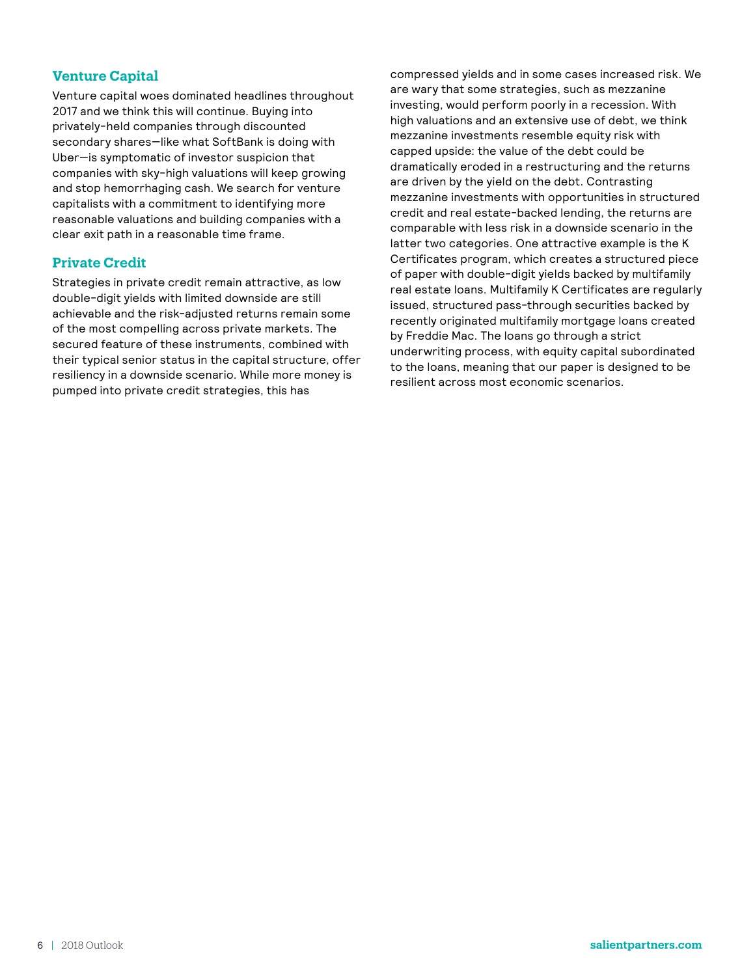## **Venture Capital**

Venture capital woes dominated headlines throughout 2017 and we think this will continue. Buying into privately-held companies through discounted secondary shares—like what SoftBank is doing with Uber—is symptomatic of investor suspicion that companies with sky-high valuations will keep growing and stop hemorrhaging cash. We search for venture capitalists with a commitment to identifying more reasonable valuations and building companies with a clear exit path in a reasonable time frame.

## **Private Credit**

Strategies in private credit remain attractive, as low double-digit yields with limited downside are still achievable and the risk-adjusted returns remain some of the most compelling across private markets. The secured feature of these instruments, combined with their typical senior status in the capital structure, offer resiliency in a downside scenario. While more money is pumped into private credit strategies, this has

compressed yields and in some cases increased risk. We are wary that some strategies, such as mezzanine investing, would perform poorly in a recession. With high valuations and an extensive use of debt, we think mezzanine investments resemble equity risk with capped upside: the value of the debt could be dramatically eroded in a restructuring and the returns are driven by the yield on the debt. Contrasting mezzanine investments with opportunities in structured credit and real estate-backed lending, the returns are comparable with less risk in a downside scenario in the latter two categories. One attractive example is the K Certificates program, which creates a structured piece of paper with double-digit yields backed by multifamily real estate loans. Multifamily K Certificates are regularly issued, structured pass-through securities backed by recently originated multifamily mortgage loans created by Freddie Mac. The loans go through a strict underwriting process, with equity capital subordinated to the loans, meaning that our paper is designed to be resilient across most economic scenarios.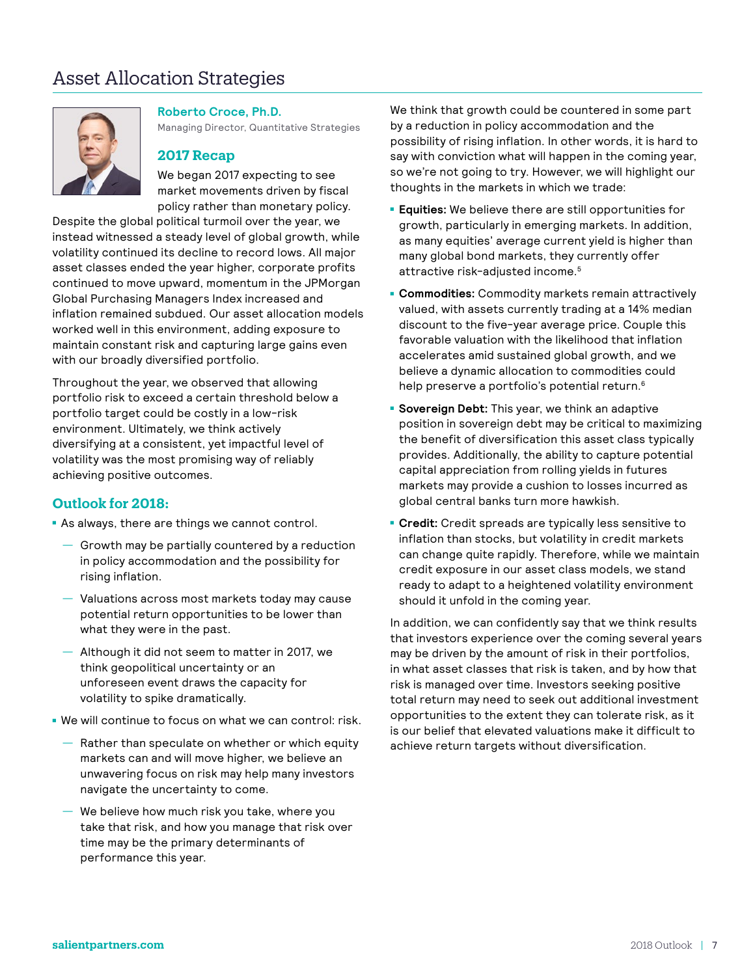## Asset Allocation Strategies



**Roberto Croce, Ph.D.**

Managing Director, Quantitative Strategies

## **2017 Recap**

We began 2017 expecting to see market movements driven by fiscal policy rather than monetary policy.

Despite the global political turmoil over the year, we instead witnessed a steady level of global growth, while volatility continued its decline to record lows. All major asset classes ended the year higher, corporate profits continued to move upward, momentum in the JPMorgan Global Purchasing Managers Index increased and inflation remained subdued. Our asset allocation models worked well in this environment, adding exposure to maintain constant risk and capturing large gains even with our broadly diversified portfolio.

Throughout the year, we observed that allowing portfolio risk to exceed a certain threshold below a portfolio target could be costly in a low-risk environment. Ultimately, we think actively diversifying at a consistent, yet impactful level of volatility was the most promising way of reliably achieving positive outcomes.

## **Outlook for 2018:**

- **As always, there are things we cannot control.** 
	- Growth may be partially countered by a reduction in policy accommodation and the possibility for rising inflation.
	- Valuations across most markets today may cause potential return opportunities to be lower than what they were in the past.
	- Although it did not seem to matter in 2017, we think geopolitical uncertainty or an unforeseen event draws the capacity for volatility to spike dramatically.
- We will continue to focus on what we can control: risk.
	- Rather than speculate on whether or which equity markets can and will move higher, we believe an unwavering focus on risk may help many investors navigate the uncertainty to come.
	- We believe how much risk you take, where you take that risk, and how you manage that risk over time may be the primary determinants of performance this year.

We think that growth could be countered in some part by a reduction in policy accommodation and the possibility of rising inflation. In other words, it is hard to say with conviction what will happen in the coming year, so we're not going to try. However, we will highlight our thoughts in the markets in which we trade:

- **Equities:** We believe there are still opportunities for growth, particularly in emerging markets. In addition, as many equities' average current yield is higher than many global bond markets, they currently offer attractive risk-adjusted income.<sup>5</sup>
- **Commodities:** Commodity markets remain attractively valued, with assets currently trading at a 14% median discount to the five-year average price. Couple this favorable valuation with the likelihood that inflation accelerates amid sustained global growth, and we believe a dynamic allocation to commodities could help preserve a portfolio's potential return.<sup>6</sup>
- **Sovereign Debt:** This year, we think an adaptive position in sovereign debt may be critical to maximizing the benefit of diversification this asset class typically provides. Additionally, the ability to capture potential capital appreciation from rolling yields in futures markets may provide a cushion to losses incurred as global central banks turn more hawkish.
- **Credit:** Credit spreads are typically less sensitive to inflation than stocks, but volatility in credit markets can change quite rapidly. Therefore, while we maintain credit exposure in our asset class models, we stand ready to adapt to a heightened volatility environment should it unfold in the coming year.

In addition, we can confidently say that we think results that investors experience over the coming several years may be driven by the amount of risk in their portfolios, in what asset classes that risk is taken, and by how that risk is managed over time. Investors seeking positive total return may need to seek out additional investment opportunities to the extent they can tolerate risk, as it is our belief that elevated valuations make it difficult to achieve return targets without diversification.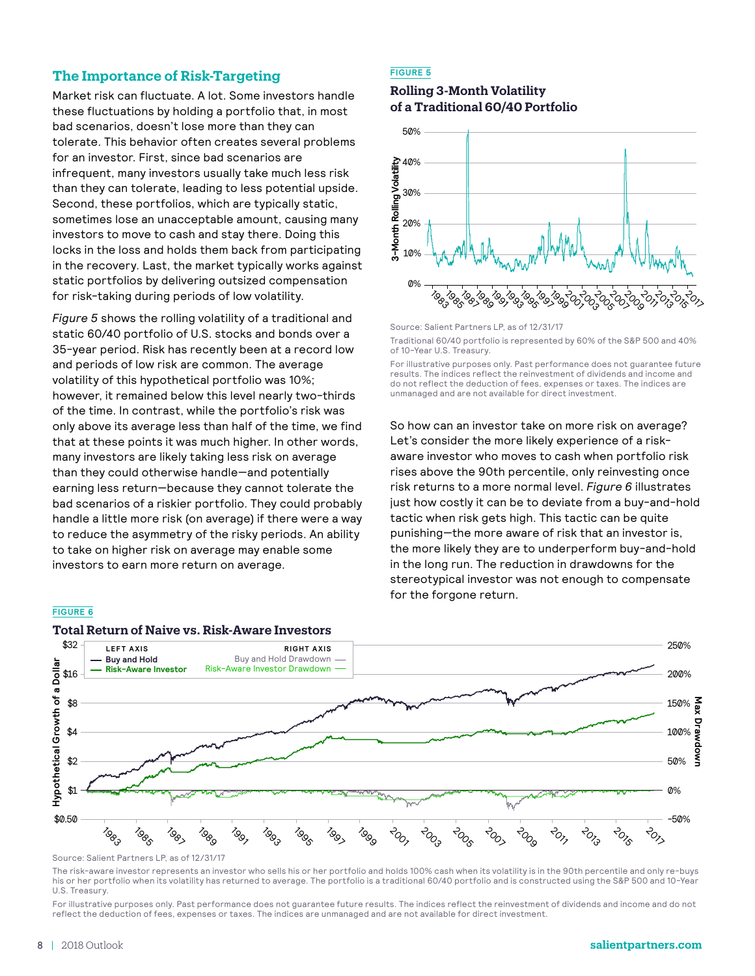## **The Importance of Risk-Targeting**

Market risk can fluctuate. A lot. Some investors handle these fluctuations by holding a portfolio that, in most bad scenarios, doesn't lose more than they can tolerate. This behavior often creates several problems for an investor. First, since bad scenarios are infrequent, many investors usually take much less risk than they can tolerate, leading to less potential upside. Second, these portfolios, which are typically static, sometimes lose an unacceptable amount, causing many investors to move to cash and stay there. Doing this locks in the loss and holds them back from participating in the recovery. Last, the market typically works against static portfolios by delivering outsized compensation for risk-taking during periods of low volatility.

*Figure 5* shows the rolling volatility of a traditional and static 60/40 portfolio of U.S. stocks and bonds over a 35-year period. Risk has recently been at a record low and periods of low risk are common. The average volatility of this hypothetical portfolio was 10%; however, it remained below this level nearly two-thirds of the time. In contrast, while the portfolio's risk was only above its average less than half of the time, we find that at these points it was much higher. In other words, many investors are likely taking less risk on average than they could otherwise handle—and potentially earning less return—because they cannot tolerate the bad scenarios of a riskier portfolio. They could probably handle a little more risk (on average) if there were a way to reduce the asymmetry of the risky periods. An ability to take on higher risk on average may enable some investors to earn more return on average.

#### **FIGURE 6**



#### **Total Return of Naive vs. Risk-Aware Investors**

## **FIGURE 5**

#### **Rolling 3-Month Volatility of a Traditional 60/40 Portfolio**



Source: Salient Partners LP, as of 12/31/17 Traditional 60/40 portfolio is represented by 60% of the S&P 500 and 40% of 10-Year U.S. Treasury.

For illustrative purposes only. Past performance does not guarantee future results. The indices reflect the reinvestment of dividends and income and do not reflect the deduction of fees, expenses or taxes. The indices are unmanaged and are not available for direct investment.

So how can an investor take on more risk on average? Let's consider the more likely experience of a riskaware investor who moves to cash when portfolio risk rises above the 90th percentile, only reinvesting once risk returns to a more normal level. *Figure 6* illustrates just how costly it can be to deviate from a buy-and-hold tactic when risk gets high. This tactic can be quite punishing—the more aware of risk that an investor is, the more likely they are to underperform buy-and-hold in the long run. The reduction in drawdowns for the stereotypical investor was not enough to compensate for the forgone return.

The risk-aware investor represents an investor who sells his or her portfolio and holds 100% cash when its volatility is in the 90th percentile and only re-buys his or her portfolio when its volatility has returned to average. The portfolio is a traditional 60/40 portfolio and is constructed using the S&P 500 and 10-Year U.S. Treasury.

For illustrative purposes only. Past performance does not guarantee future results. The indices reflect the reinvestment of dividends and income and do not reflect the deduction of fees, expenses or taxes. The indices are unmanaged and are not available for direct investment.

Source: Salient Partners LP, as of 12/31/17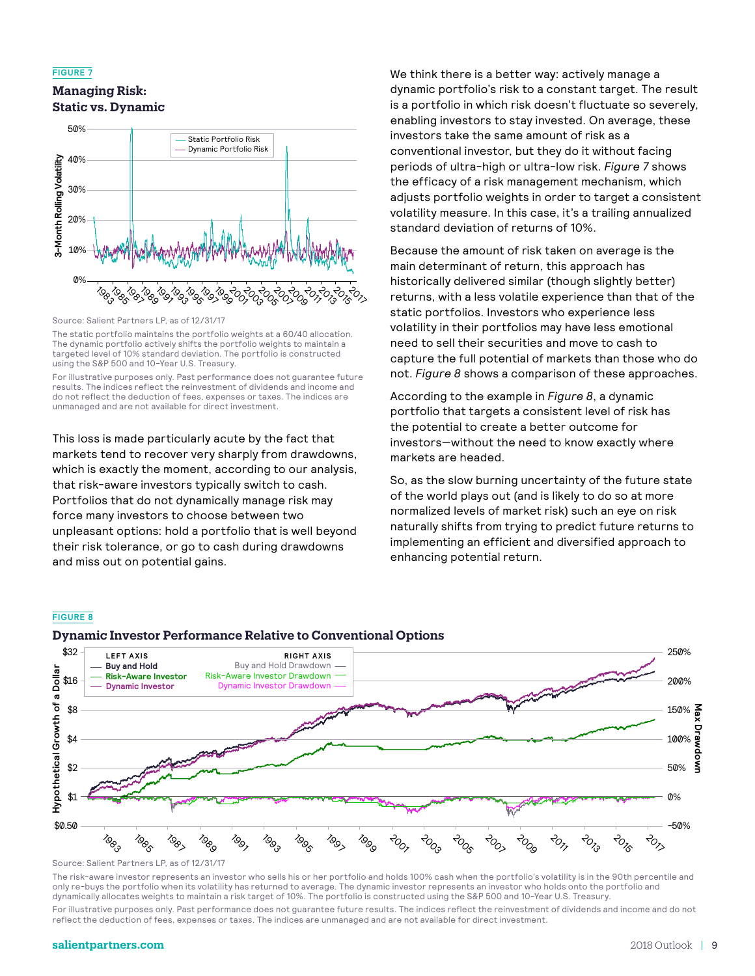#### **FIGURE 7**

## **Managing Risk: Static vs. Dynamic**



Source: Salient Partners LP, as of 12/31/17

The static portfolio maintains the portfolio weights at a 60/40 allocation. The dynamic portfolio actively shifts the portfolio weights to maintain a targeted level of 10% standard deviation. The portfolio is constructed using the S&P 500 and 10-Year U.S. Treasury.

For illustrative purposes only. Past performance does not guarantee future results. The indices reflect the reinvestment of dividends and income and do not reflect the deduction of fees, expenses or taxes. The indices are unmanaged and are not available for direct investment.

This loss is made particularly acute by the fact that markets tend to recover very sharply from drawdowns, which is exactly the moment, according to our analysis, that risk-aware investors typically switch to cash. Portfolios that do not dynamically manage risk may force many investors to choose between two unpleasant options: hold a portfolio that is well beyond their risk tolerance, or go to cash during drawdowns and miss out on potential gains.

We think there is a better way: actively manage a dynamic portfolio's risk to a constant target. The result is a portfolio in which risk doesn't fluctuate so severely, enabling investors to stay invested. On average, these investors take the same amount of risk as a conventional investor, but they do it without facing periods of ultra-high or ultra-low risk. *Figure 7* shows the efficacy of a risk management mechanism, which adjusts portfolio weights in order to target a consistent volatility measure. In this case, it's a trailing annualized standard deviation of returns of 10%.

Because the amount of risk taken on average is the main determinant of return, this approach has historically delivered similar (though slightly better) returns, with a less volatile experience than that of the static portfolios. Investors who experience less volatility in their portfolios may have less emotional need to sell their securities and move to cash to capture the full potential of markets than those who do not. *Figure 8* shows a comparison of these approaches.

According to the example in *Figure 8*, a dynamic portfolio that targets a consistent level of risk has the potential to create a better outcome for investors—without the need to know exactly where markets are headed.

So, as the slow burning uncertainty of the future state of the world plays out (and is likely to do so at more normalized levels of market risk) such an eye on risk naturally shifts from trying to predict future returns to implementing an efficient and diversified approach to enhancing potential return.

#### **FIGURE 8**



**Dynamic Investor Performance Relative to Conventional Options**

The risk-aware investor represents an investor who sells his or her portfolio and holds 100% cash when the portfolio's volatility is in the 90th percentile and only re-buys the portfolio when its volatility has returned to average. The dynamic investor represents an investor who holds onto the portfolio and dynamically allocates weights to maintain a risk target of 10%. The portfolio is constructed using the S&P 500 and 10-Year U.S. Treasury.

For illustrative purposes only. Past performance does not guarantee future results. The indices reflect the reinvestment of dividends and income and do not reflect the deduction of fees, expenses or taxes. The indices are unmanaged and are not available for direct investment.

Source: Salient Partners LP, as of 12/31/17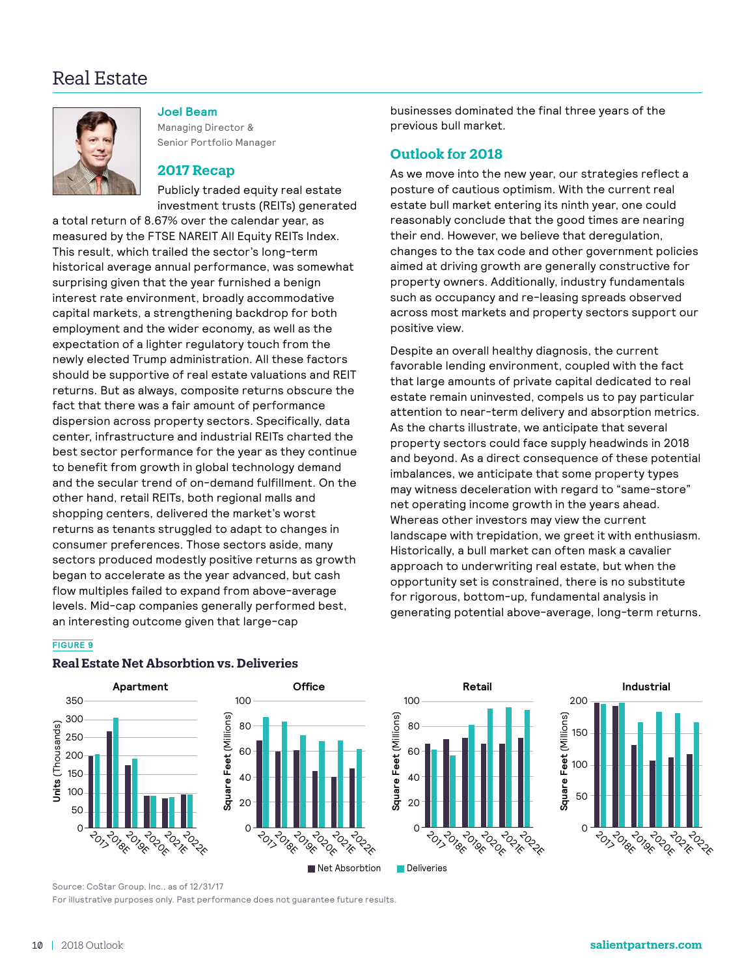## Real Estate



**Joel Beam**

Managing Director & Senior Portfolio Manager

## **2017 Recap**

Publicly traded equity real estate investment trusts (REITs) generated

a total return of 8.67% over the calendar year, as measured by the FTSE NAREIT All Equity REITs Index. This result, which trailed the sector's long-term historical average annual performance, was somewhat surprising given that the year furnished a benign interest rate environment, broadly accommodative capital markets, a strengthening backdrop for both employment and the wider economy, as well as the expectation of a lighter regulatory touch from the newly elected Trump administration. All these factors should be supportive of real estate valuations and REIT returns. But as always, composite returns obscure the fact that there was a fair amount of performance dispersion across property sectors. Specifically, data center, infrastructure and industrial REITs charted the best sector performance for the year as they continue to benefit from growth in global technology demand and the secular trend of on-demand fulfillment. On the other hand, retail REITs, both regional malls and shopping centers, delivered the market's worst returns as tenants struggled to adapt to changes in consumer preferences. Those sectors aside, many sectors produced modestly positive returns as growth began to accelerate as the year advanced, but cash flow multiples failed to expand from above-average levels. Mid-cap companies generally performed best, an interesting outcome given that large-cap

businesses dominated the final three years of the previous bull market.

#### **Outlook for 2018**

As we move into the new year, our strategies reflect a posture of cautious optimism. With the current real estate bull market entering its ninth year, one could reasonably conclude that the good times are nearing their end. However, we believe that deregulation, changes to the tax code and other government policies aimed at driving growth are generally constructive for property owners. Additionally, industry fundamentals such as occupancy and re-leasing spreads observed across most markets and property sectors support our positive view.

Despite an overall healthy diagnosis, the current favorable lending environment, coupled with the fact that large amounts of private capital dedicated to real estate remain uninvested, compels us to pay particular attention to near-term delivery and absorption metrics. As the charts illustrate, we anticipate that several property sectors could face supply headwinds in 2018 and beyond. As a direct consequence of these potential imbalances, we anticipate that some property types may witness deceleration with regard to "same-store" net operating income growth in the years ahead. Whereas other investors may view the current landscape with trepidation, we greet it with enthusiasm. Historically, a bull market can often mask a cavalier approach to underwriting real estate, but when the opportunity set is constrained, there is no substitute for rigorous, bottom-up, fundamental analysis in generating potential above-average, long-term returns.

#### **FIGURE 9**



#### **Real Estate Net Absorbtion vs. Deliveries**



Net Absorbtion Deliveries

**ALL POIDER** ADONE **BOOK TONE** 

**Retail**



Source: CoStar Group, Inc., as of 12/31/17

For illustrative purposes only. Past performance does not guarantee future results.

 $-202$ 

 $\overline{O}$ 

20

40

60

**Square Feet** (Millions)

Square Feet (Millions)

80

100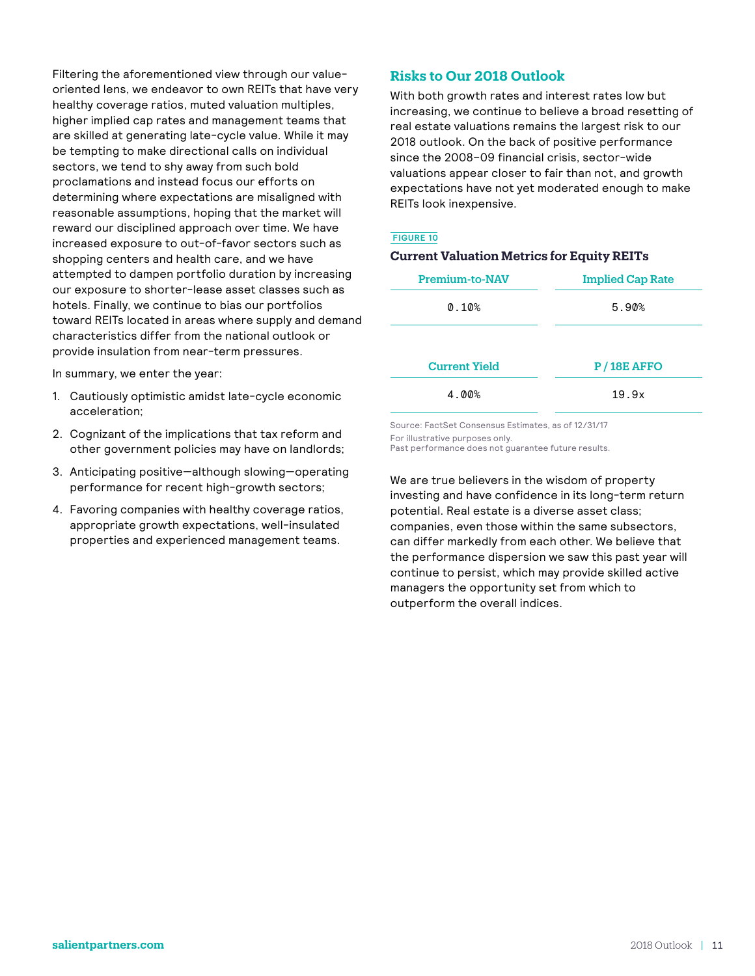Filtering the aforementioned view through our valueoriented lens, we endeavor to own REITs that have very healthy coverage ratios, muted valuation multiples, higher implied cap rates and management teams that are skilled at generating late-cycle value. While it may be tempting to make directional calls on individual sectors, we tend to shy away from such bold proclamations and instead focus our efforts on determining where expectations are misaligned with reasonable assumptions, hoping that the market will reward our disciplined approach over time. We have increased exposure to out-of-favor sectors such as shopping centers and health care, and we have attempted to dampen portfolio duration by increasing our exposure to shorter-lease asset classes such as hotels. Finally, we continue to bias our portfolios toward REITs located in areas where supply and demand characteristics differ from the national outlook or provide insulation from near-term pressures.

In summary, we enter the year:

- 1. Cautiously optimistic amidst late-cycle economic acceleration;
- 2. Cognizant of the implications that tax reform and other government policies may have on landlords;
- 3. Anticipating positive—although slowing—operating performance for recent high-growth sectors;
- 4. Favoring companies with healthy coverage ratios, appropriate growth expectations, well-insulated properties and experienced management teams.

## **Risks to Our 2018 Outlook**

With both growth rates and interest rates low but increasing, we continue to believe a broad resetting of real estate valuations remains the largest risk to our 2018 outlook. On the back of positive performance since the 2008–09 financial crisis, sector-wide valuations appear closer to fair than not, and growth expectations have not yet moderated enough to make REITs look inexpensive.

#### **FIGURE 10**

| <b>Current Valuation Metrics for Equity REITs</b> |                                  |  |  |  |  |
|---------------------------------------------------|----------------------------------|--|--|--|--|
| <b>Premium-to-NAV</b>                             | <b>Implied Cap Rate</b><br>5.90% |  |  |  |  |
| 0.10%                                             |                                  |  |  |  |  |
| <b>Current Yield</b>                              | $P/18E$ AFFO                     |  |  |  |  |
| 4.00%                                             | 19.9x                            |  |  |  |  |

Source: FactSet Consensus Estimates, as of 12/31/17 For illustrative purposes only.

Past performance does not guarantee future results.

We are true believers in the wisdom of property investing and have confidence in its long-term return potential. Real estate is a diverse asset class; companies, even those within the same subsectors, can differ markedly from each other. We believe that the performance dispersion we saw this past year will continue to persist, which may provide skilled active managers the opportunity set from which to outperform the overall indices.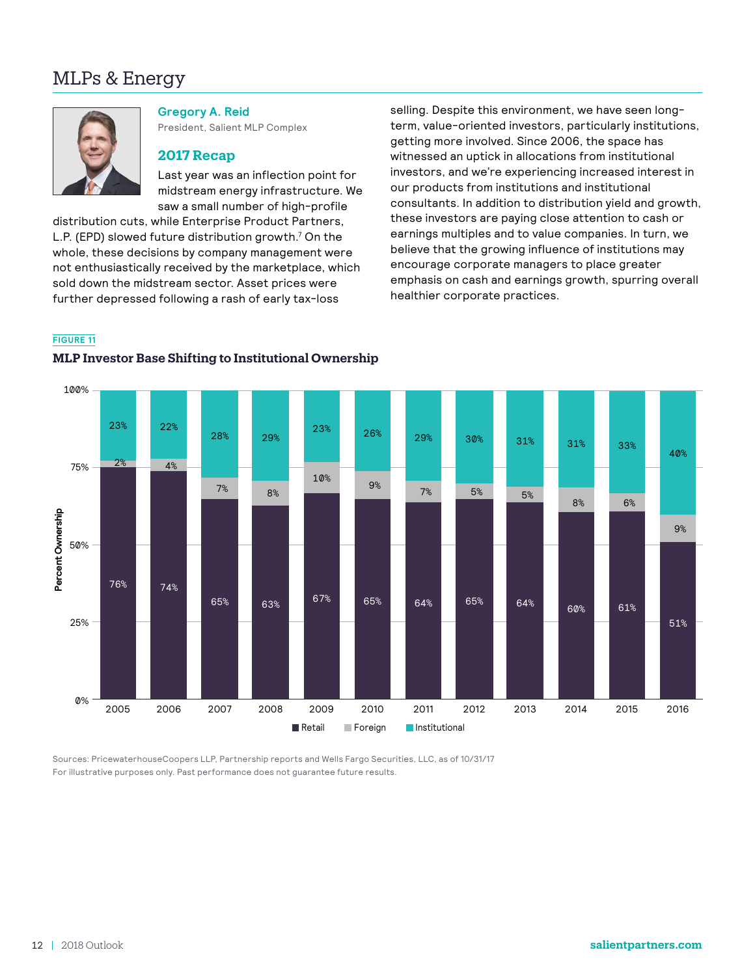## MLPs & Energy



**Gregory A. Reid** President, Salient MLP Complex

### **2017 Recap**

Last year was an inflection point for midstream energy infrastructure. We saw a small number of high-profile

distribution cuts, while Enterprise Product Partners, L.P. (EPD) slowed future distribution growth.<sup>7</sup> On the whole, these decisions by company management were not enthusiastically received by the marketplace, which sold down the midstream sector. Asset prices were further depressed following a rash of early tax-loss

selling. Despite this environment, we have seen longterm, value-oriented investors, particularly institutions, getting more involved. Since 2006, the space has witnessed an uptick in allocations from institutional investors, and we're experiencing increased interest in our products from institutions and institutional consultants. In addition to distribution yield and growth, these investors are paying close attention to cash or earnings multiples and to value companies. In turn, we believe that the growing influence of institutions may encourage corporate managers to place greater emphasis on cash and earnings growth, spurring overall healthier corporate practices.

## **FIGURE 11**

#### **MLP Investor Base Shifting to Institutional Ownership**



Sources: PricewaterhouseCoopers LLP, Partnership reports and Wells Fargo Securities, LLC, as of 10/31/17 For illustrative purposes only. Past performance does not guarantee future results.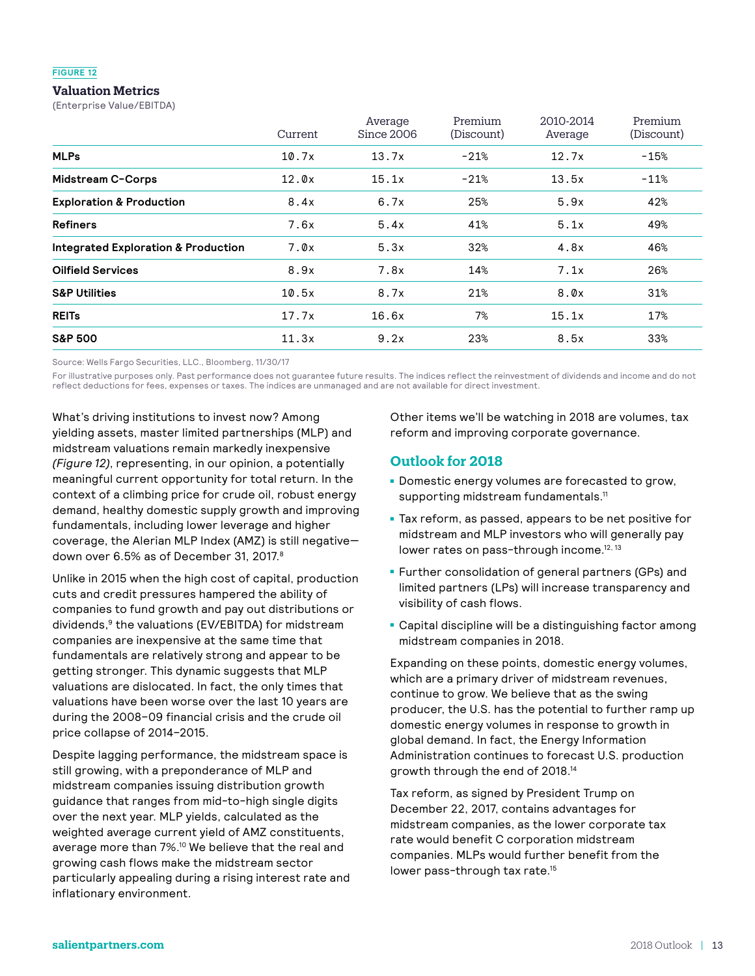#### **FIGURE 12**

## **Valuation Metrics**

(Enterprise Value/EBITDA)

|                                                | Current | Average<br>Since 2006 | Premium<br>(Discount) | 2010-2014<br>Average | Premium<br>(Discount) |
|------------------------------------------------|---------|-----------------------|-----------------------|----------------------|-----------------------|
| <b>MLPs</b>                                    | 10.7x   | 13.7x                 | $-21%$                | 12.7x                | $-15%$                |
| Midstream C-Corps                              | 12.0x   | 15.1x                 | $-21%$                | 13.5x                | $-11%$                |
| <b>Exploration &amp; Production</b>            | 8.4x    | 6.7x                  | 25%                   | 5.9x                 | 42%                   |
| <b>Refiners</b>                                | 7.6x    | 5.4x                  | 41%                   | 5.1x                 | 49%                   |
| <b>Integrated Exploration &amp; Production</b> | 7.0x    | 5.3x                  | 32%                   | 4.8x                 | 46%                   |
| <b>Oilfield Services</b>                       | 8.9x    | 7.8x                  | 14%                   | 7.1x                 | 26%                   |
| <b>S&amp;P Utilities</b>                       | 10.5x   | 8.7x                  | 21%                   | 8.0x                 | 31%                   |
| <b>REITs</b>                                   | 17.7x   | 16.6x                 | 7%                    | 15.1x                | 17%                   |
| <b>S&amp;P 500</b>                             | 11.3x   | 9.2x                  | 23%                   | 8.5x                 | 33%                   |

Source: Wells Fargo Securities, LLC., Bloomberg, 11/30/17

For illustrative purposes only. Past performance does not guarantee future results. The indices reflect the reinvestment of dividends and income and do not reflect deductions for fees, expenses or taxes. The indices are unmanaged and are not available for direct investment.

What's driving institutions to invest now? Among yielding assets, master limited partnerships (MLP) and midstream valuations remain markedly inexpensive *(Figure 12)*, representing, in our opinion, a potentially meaningful current opportunity for total return. In the context of a climbing price for crude oil, robust energy demand, healthy domestic supply growth and improving fundamentals, including lower leverage and higher coverage, the Alerian MLP Index (AMZ) is still negative down over 6.5% as of December 31, 2017.<sup>8</sup>

Unlike in 2015 when the high cost of capital, production cuts and credit pressures hampered the ability of companies to fund growth and pay out distributions or dividends,<sup>9</sup> the valuations (EV/EBITDA) for midstream companies are inexpensive at the same time that fundamentals are relatively strong and appear to be getting stronger. This dynamic suggests that MLP valuations are dislocated. In fact, the only times that valuations have been worse over the last 10 years are during the 2008–09 financial crisis and the crude oil price collapse of 2014–2015.

Despite lagging performance, the midstream space is still growing, with a preponderance of MLP and midstream companies issuing distribution growth guidance that ranges from mid-to-high single digits over the next year. MLP yields, calculated as the weighted average current yield of AMZ constituents, average more than 7%.<sup>10</sup> We believe that the real and growing cash flows make the midstream sector particularly appealing during a rising interest rate and inflationary environment.

Other items we'll be watching in 2018 are volumes, tax reform and improving corporate governance.

## **Outlook for 2018**

- **Domestic energy volumes are forecasted to grow,** supporting midstream fundamentals.<sup>11</sup>
- Tax reform, as passed, appears to be net positive for midstream and MLP investors who will generally pay lower rates on pass-through income.<sup>12, 13</sup>
- Further consolidation of general partners (GPs) and limited partners (LPs) will increase transparency and visibility of cash flows.
- Capital discipline will be a distinguishing factor among midstream companies in 2018.

Expanding on these points, domestic energy volumes, which are a primary driver of midstream revenues, continue to grow. We believe that as the swing producer, the U.S. has the potential to further ramp up domestic energy volumes in response to growth in global demand. In fact, the Energy Information Administration continues to forecast U.S. production growth through the end of 2018.14

Tax reform, as signed by President Trump on December 22, 2017, contains advantages for midstream companies, as the lower corporate tax rate would benefit C corporation midstream companies. MLPs would further benefit from the lower pass-through tax rate.15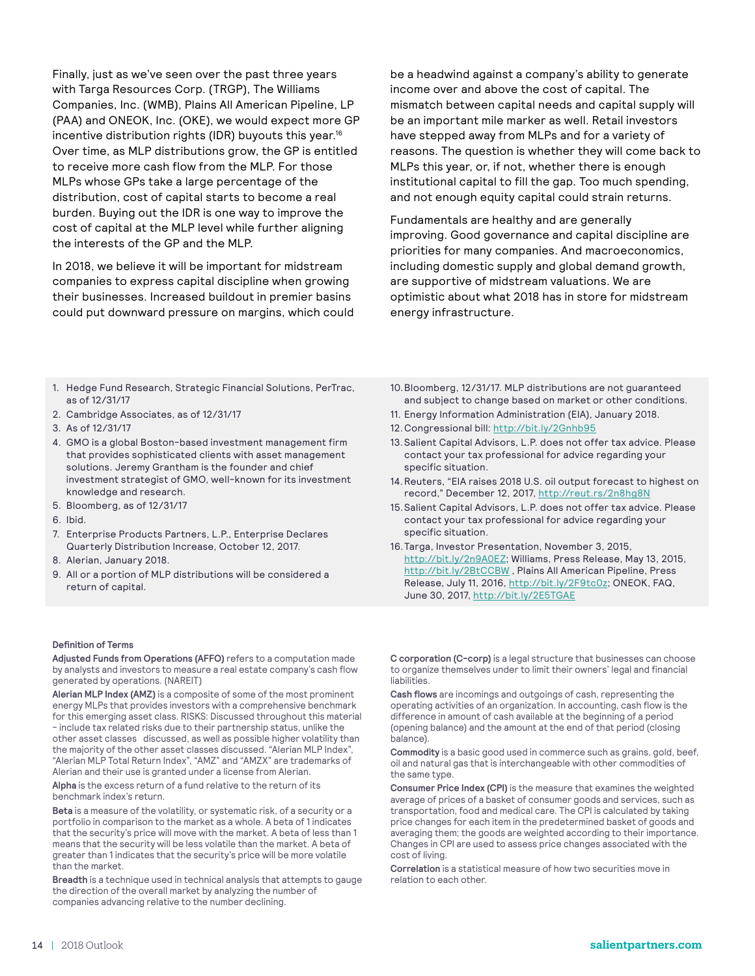Finally, just as we've seen over the past three years with Targa Resources Corp. (TRGP), The Williams Companies, Inc. (WMB), Plains All American Pipeline, LP (PAA) and ONEOK, Inc. (OKE), we would expect more GP incentive distribution rights (IDR) buyouts this year.<sup>16</sup> Over time, as MLP distributions grow, the GP is entitled to receive more cash flow from the MLP. For those MLPs whose GPs take a large percentage of the distribution, cost of capital starts to become a real burden. Buying out the IDR is one way to improve the cost of capital at the MLP level while further aligning the interests of the GP and the MLP.

In 2018, we believe it will be important for midstream companies to express capital discipline when growing their businesses. Increased buildout in premier basins could put downward pressure on margins, which could be a headwind against a company's ability to generate income over and above the cost of capital. The mismatch between capital needs and capital supply will be an important mile marker as well. Retail investors have stepped away from MLPs and for a variety of reasons. The question is whether they will come back to MLPs this year, or, if not, whether there is enough institutional capital to fill the gap. Too much spending, and not enough equity capital could strain returns.

Fundamentals are healthy and are generally improving. Good governance and capital discipline are priorities for many companies. And macroeconomics, including domestic supply and global demand growth, are supportive of midstream valuations. We are optimistic about what 2018 has in store for midstream energy infrastructure.

- 1. Hedge Fund Research, Strategic Financial Solutions, PerTrac, as of 12/31/17
- 2. Cambridge Associates, as of 12/31/17
- 3. As of 12/31/17
- 4. GMO is a global Boston-based investment management firm that provides sophisticated clients with asset management solutions. Jeremy Grantham is the founder and chief investment strategist of GMO, well-known for its investment knowledge and research.
- 5. Bloomberg, as of 12/31/17
- 6. Ibid.
- 7. Enterprise Products Partners, L.P., Enterprise Declares Quarterly Distribution Increase, October 12, 2017.
- 8. Alerian, January 2018.
- 9. All or a portion of MLP distributions will be considered a return of capital.

#### **Definition of Terms**

**Adjusted Funds from Operations (AFFO)** refers to a computation made by analysts and investors to measure a real estate company's cash flow generated by operations. (NAREIT)

**Alerian MLP Index (AMZ)** is a composite of some of the most prominent energy MLPs that provides investors with a comprehensive benchmark for this emerging asset class. RISKS: Discussed throughout this material - include tax related risks due to their partnership status, unlike the other asset classes discussed, as well as possible higher volatility than the majority of the other asset classes discussed. "Alerian MLP Index", "Alerian MLP Total Return Index", "AMZ" and "AMZX" are trademarks of Alerian and their use is granted under a license from Alerian.

**Alpha** is the excess return of a fund relative to the return of its benchmark index's return.

**Beta** is a measure of the volatility, or systematic risk, of a security or a portfolio in comparison to the market as a whole. A beta of 1 indicates that the security's price will move with the market. A beta of less than 1 means that the security will be less volatile than the market. A beta of greater than 1 indicates that the security's price will be more volatile than the market.

**Breadth** is a technique used in technical analysis that attempts to gauge the direction of the overall market by analyzing the number of companies advancing relative to the number declining.

- 10.Bloomberg, 12/31/17. MLP distributions are not guaranteed and subject to change based on market or other conditions.
- 11. Energy Information Administration (EIA), January 2018.
- 12.Congressional bill:<http://bit.ly/2Gnhb95>
- 13.Salient Capital Advisors, L.P. does not offer tax advice. Please contact your tax professional for advice regarding your specific situation.
- 14.Reuters, "EIA raises 2018 U.S. oil output forecast to highest on record," December 12, 2017, <http://reut.rs/2n8hg8N>
- 15.Salient Capital Advisors, L.P. does not offer tax advice. Please contact your tax professional for advice regarding your specific situation.
- 16.Targa, Investor Presentation, November 3, 2015, <http://bit.ly/2n9A0EZ>; Williams, Press Release, May 13, 2015, <http://bit.ly/2BtCCBW> , Plains All American Pipeline, Press Release, July 11, 2016, [http://bit.ly/2F9tc0z;](http://bit.ly/2F9tc0z) ONEOK, FAQ, June 30, 2017, <http://bit.ly/2E5TGAE>

**C corporation (C-corp)** is a legal structure that businesses can choose to organize themselves under to limit their owners' legal and financial liabilities.

**Cash flows** are incomings and outgoings of cash, representing the operating activities of an organization. In accounting, cash flow is the difference in amount of cash available at the beginning of a period (opening balance) and the amount at the end of that period (closing balance).

**Commodity** is a basic good used in commerce such as grains, gold, beef, oil and natural gas that is interchangeable with other commodities of the same type.

**Consumer Price Index (CPI)** is the measure that examines the weighted average of prices of a basket of consumer goods and services, such as transportation, food and medical care. The CPI is calculated by taking price changes for each item in the predetermined basket of goods and averaging them; the goods are weighted according to their importance. Changes in CPI are used to assess price changes associated with the cost of living.

**Correlation** is a statistical measure of how two securities move in relation to each other.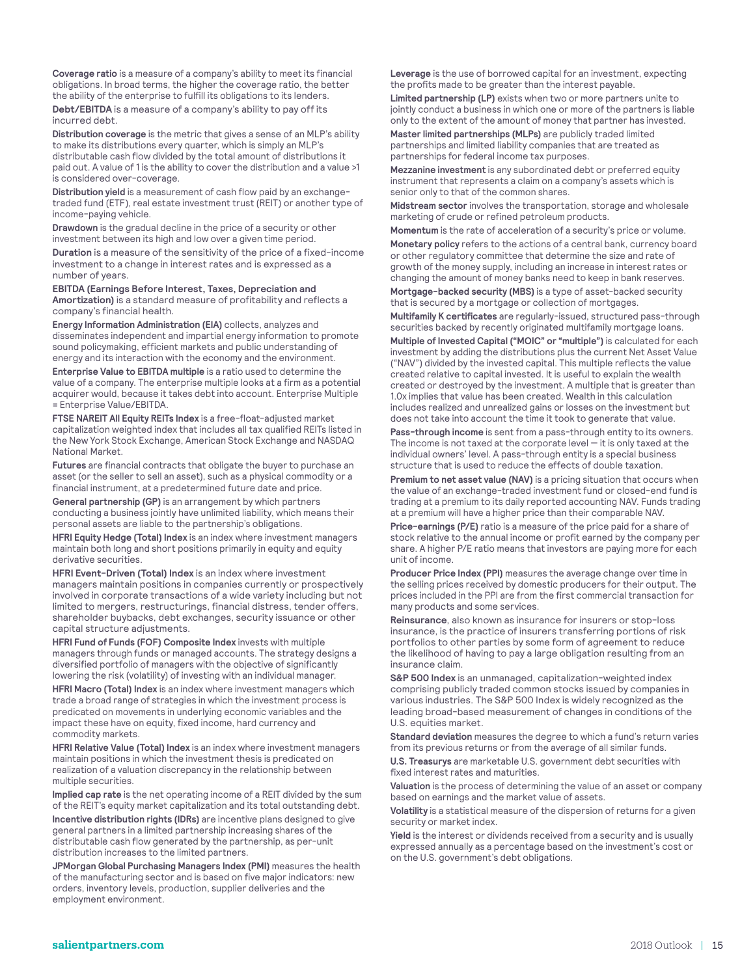**Coverage ratio** is a measure of a company's ability to meet its financial obligations. In broad terms, the higher the coverage ratio, the better the ability of the enterprise to fulfill its obligations to its lenders.

**Debt/EBITDA** is a measure of a company's ability to pay off its incurred debt.

**Distribution coverage** is the metric that gives a sense of an MLP's ability to make its distributions every quarter, which is simply an MLP's distributable cash flow divided by the total amount of distributions it paid out. A value of 1 is the ability to cover the distribution and a value >1 is considered over-coverage.

**Distribution yield** is a measurement of cash flow paid by an exchangetraded fund (ETF), real estate investment trust (REIT) or another type of income-paying vehicle.

**Drawdown** is the gradual decline in the price of a security or other investment between its high and low over a given time period. **Duration** is a measure of the sensitivity of the price of a fixed-income investment to a change in interest rates and is expressed as a number of years.

**EBITDA (Earnings Before Interest, Taxes, Depreciation and Amortization)** is a standard measure of profitability and reflects a company's financial health.

**Energy Information Administration (EIA)** collects, analyzes and disseminates independent and impartial energy information to promote sound policymaking, efficient markets and public understanding of energy and its interaction with the economy and the environment.

**Enterprise Value to EBITDA multiple** is a ratio used to determine the value of a company. The enterprise multiple looks at a firm as a potential acquirer would, because it takes debt into account. Enterprise Multiple = Enterprise Value/EBITDA.

**FTSE NAREIT All Equity REITs Index** is a free-float-adjusted market capitalization weighted index that includes all tax qualified REITs listed in the New York Stock Exchange, American Stock Exchange and NASDAQ National Market.

**Futures** are financial contracts that obligate the buyer to purchase an asset (or the seller to sell an asset), such as a physical commodity or a financial instrument, at a predetermined future date and price.

**General partnership (GP)** is an arrangement by which partners conducting a business jointly have unlimited liability, which means their personal assets are liable to the partnership's obligations.

**HFRI Equity Hedge (Total) Index** is an index where investment managers maintain both long and short positions primarily in equity and equity derivative securities.

**HFRI Event-Driven (Total) Index** is an index where investment managers maintain positions in companies currently or prospectively involved in corporate transactions of a wide variety including but not limited to mergers, restructurings, financial distress, tender offers, shareholder buybacks, debt exchanges, security issuance or other capital structure adjustments.

**HFRI Fund of Funds (FOF) Composite Index** invests with multiple managers through funds or managed accounts. The strategy designs a diversified portfolio of managers with the objective of significantly lowering the risk (volatility) of investing with an individual manager.

**HFRI Macro (Total) Index** is an index where investment managers which trade a broad range of strategies in which the investment process is predicated on movements in underlying economic variables and the impact these have on equity, fixed income, hard currency and commodity markets.

**HFRI Relative Value (Total) Index** is an index where investment managers maintain positions in which the investment thesis is predicated on realization of a valuation discrepancy in the relationship between multiple securities.

**Implied cap rate** is the net operating income of a REIT divided by the sum of the REIT's equity market capitalization and its total outstanding debt.

**Incentive distribution rights (IDRs)** are incentive plans designed to give general partners in a limited partnership increasing shares of the distributable cash flow generated by the partnership, as per-unit distribution increases to the limited partners.

**JPMorgan Global Purchasing Managers Index (PMI)** measures the health of the manufacturing sector and is based on five major indicators: new orders, inventory levels, production, supplier deliveries and the employment environment.

**Leverage** is the use of borrowed capital for an investment, expecting the profits made to be greater than the interest payable.

**Limited partnership (LP)** exists when two or more partners unite to jointly conduct a business in which one or more of the partners is liable only to the extent of the amount of money that partner has invested.

**Master limited partnerships (MLPs)** are publicly traded limited partnerships and limited liability companies that are treated as partnerships for federal income tax purposes.

**Mezzanine investment** is any subordinated debt or preferred equity instrument that represents a claim on a company's assets which is senior only to that of the common shares.

**Midstream sector** involves the transportation, storage and wholesale marketing of crude or refined petroleum products.

**Momentum** is the rate of acceleration of a security's price or volume.

**Monetary policy** refers to the actions of a central bank, currency board or other regulatory committee that determine the size and rate of growth of the money supply, including an increase in interest rates or changing the amount of money banks need to keep in bank reserves.

**Mortgage-backed security (MBS)** is a type of asset-backed security that is secured by a mortgage or collection of mortgages.

**Multifamily K certificates** are regularly-issued, structured pass-through securities backed by recently originated multifamily mortgage loans.

**Multiple of Invested Capital ("MOIC" or "multiple")** is calculated for each investment by adding the distributions plus the current Net Asset Value ("NAV") divided by the invested capital. This multiple reflects the value created relative to capital invested. It is useful to explain the wealth created or destroyed by the investment. A multiple that is greater than 1.0x implies that value has been created. Wealth in this calculation includes realized and unrealized gains or losses on the investment but does not take into account the time it took to generate that value.

**Pass-through income** is sent from a pass-through entity to its owners. The income is not taxed at the corporate level  $-$  it is only taxed at the individual owners' level. A pass-through entity is a special business structure that is used to reduce the effects of double taxation.

**Premium to net asset value (NAV)** is a pricing situation that occurs when the value of an exchange-traded investment fund or closed-end fund is trading at a premium to its daily reported accounting NAV. Funds trading at a premium will have a higher price than their comparable NAV.

**Price-earnings (P/E)** ratio is a measure of the price paid for a share of stock relative to the annual income or profit earned by the company per share. A higher P/E ratio means that investors are paying more for each unit of income.

**Producer Price Index (PPI)** measures the average change over time in the selling prices received by domestic producers for their output. The prices included in the PPI are from the first commercial transaction for many products and some services.

**Reinsurance**, also known as insurance for insurers or stop-loss insurance, is the practice of insurers transferring portions of risk portfolios to other parties by some form of agreement to reduce the likelihood of having to pay a large obligation resulting from an insurance claim.

**S&P 500 Index** is an unmanaged, capitalization-weighted index comprising publicly traded common stocks issued by companies in various industries. The S&P 500 Index is widely recognized as the leading broad-based measurement of changes in conditions of the U.S. equities market.

**Standard deviation** measures the degree to which a fund's return varies from its previous returns or from the average of all similar funds.

**U.S. Treasurys** are marketable U.S. government debt securities with fixed interest rates and maturities.

**Valuation** is the process of determining the value of an asset or company based on earnings and the market value of assets.

**Volatility** is a statistical measure of the dispersion of returns for a given security or market index.

**Yield** is the interest or dividends received from a security and is usually expressed annually as a percentage based on the investment's cost or on the U.S. government's debt obligations.